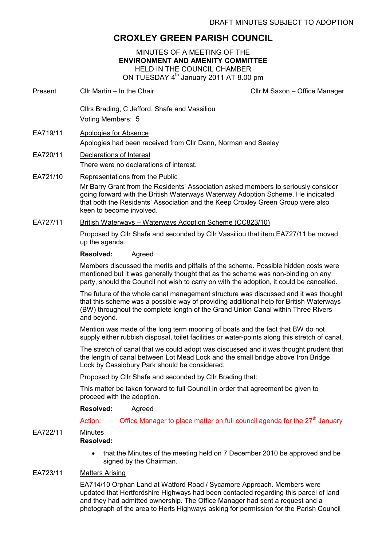# CROXLEY GREEN PARISH COUNCIL

MINUTES OF A MEETING OF THE ENVIRONMENT AND AMENITY COMMITTEE HELD IN THE COUNCIL CHAMBER ON TUESDAY 4<sup>th</sup> January 2011 AT 8.00 pm

Present Cllr Martin – In the Chair Click Client Clir M Saxon – Office Manager

Cllrs Brading, C Jefford, Shafe and Vassiliou Voting Members: 5 EA719/11 Apologies for Absence Apologies had been received from Cllr Dann, Norman and Seeley EA720/11 Declarations of Interest There were no declarations of interest. EA721/10 Representations from the Public Mr Barry Grant from the Residents' Association asked members to seriously consider going forward with the British Waterways Waterway Adoption Scheme. He indicated that both the Residents' Association and the Keep Croxley Green Group were also keen to become involved. EA727/11 British Waterways – Waterways Adoption Scheme (CC823/10) Proposed by Cllr Shafe and seconded by Cllr Vassiliou that item EA727/11 be moved up the agenda. Resolved: Agreed Members discussed the merits and pitfalls of the scheme. Possible hidden costs were mentioned but it was generally thought that as the scheme was non-binding on any party, should the Council not wish to carry on with the adoption, it could be cancelled. The future of the whole canal management structure was discussed and it was thought that this scheme was a possible way of providing additional help for British Waterways (BW) throughout the complete length of the Grand Union Canal within Three Rivers and beyond. Mention was made of the long term mooring of boats and the fact that BW do not supply either rubbish disposal, toilet facilities or water-points along this stretch of canal. The stretch of canal that we could adopt was discussed and it was thought prudent that the length of canal between Lot Mead Lock and the small bridge above Iron Bridge Lock by Cassiobury Park should be considered. Proposed by Cllr Shafe and seconded by Cllr Brading that: This matter be taken forward to full Council in order that agreement be given to proceed with the adoption. Resolved: Agreed Action: Office Manager to place matter on full council agenda for the  $27<sup>th</sup>$  January EA722/11 Minutes Resolved: • that the Minutes of the meeting held on 7 December 2010 be approved and be signed by the Chairman.

## EA723/11 Matters Arising

EA714/10 Orphan Land at Watford Road / Sycamore Approach. Members were updated that Hertfordshire Highways had been contacted regarding this parcel of land and they had admitted ownership. The Office Manager had sent a request and a photograph of the area to Herts Highways asking for permission for the Parish Council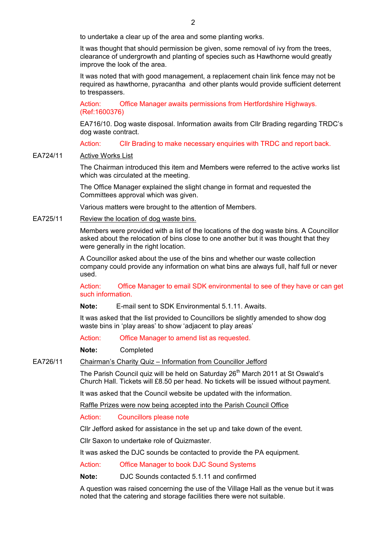to undertake a clear up of the area and some planting works.

It was thought that should permission be given, some removal of ivy from the trees, clearance of undergrowth and planting of species such as Hawthorne would greatly improve the look of the area.

It was noted that with good management, a replacement chain link fence may not be required as hawthorne, pyracantha and other plants would provide sufficient deterrent to trespassers.

Action: Office Manager awaits permissions from Hertfordshire Highways. (Ref:1600376)

EA716/10. Dog waste disposal. Information awaits from Cllr Brading regarding TRDC's dog waste contract.

Action: Cllr Brading to make necessary enquiries with TRDC and report back.

#### EA724/11 Active Works List

The Chairman introduced this item and Members were referred to the active works list which was circulated at the meeting.

The Office Manager explained the slight change in format and requested the Committees approval which was given.

Various matters were brought to the attention of Members.

EA725/11 Review the location of dog waste bins.

Members were provided with a list of the locations of the dog waste bins. A Councillor asked about the relocation of bins close to one another but it was thought that they were generally in the right location.

A Councillor asked about the use of the bins and whether our waste collection company could provide any information on what bins are always full, half full or never used.

Action: Office Manager to email SDK environmental to see of they have or can get such information.

Note: E-mail sent to SDK Environmental 5.1.11. Awaits.

It was asked that the list provided to Councillors be slightly amended to show dog waste bins in 'play areas' to show 'adjacent to play areas'

Action: Office Manager to amend list as requested.

Note: Completed

EA726/11 Chairman's Charity Quiz – Information from Councillor Jefford

The Parish Council quiz will be held on Saturday  $26<sup>th</sup>$  March 2011 at St Oswald's Church Hall. Tickets will £8.50 per head. No tickets will be issued without payment.

It was asked that the Council website be updated with the information.

Raffle Prizes were now being accepted into the Parish Council Office

Action: Councillors please note

Cllr Jefford asked for assistance in the set up and take down of the event.

Cllr Saxon to undertake role of Quizmaster.

It was asked the DJC sounds be contacted to provide the PA equipment.

Action: Office Manager to book DJC Sound Systems

Note: DJC Sounds contacted 5.1.11 and confirmed

A question was raised concerning the use of the Village Hall as the venue but it was noted that the catering and storage facilities there were not suitable.